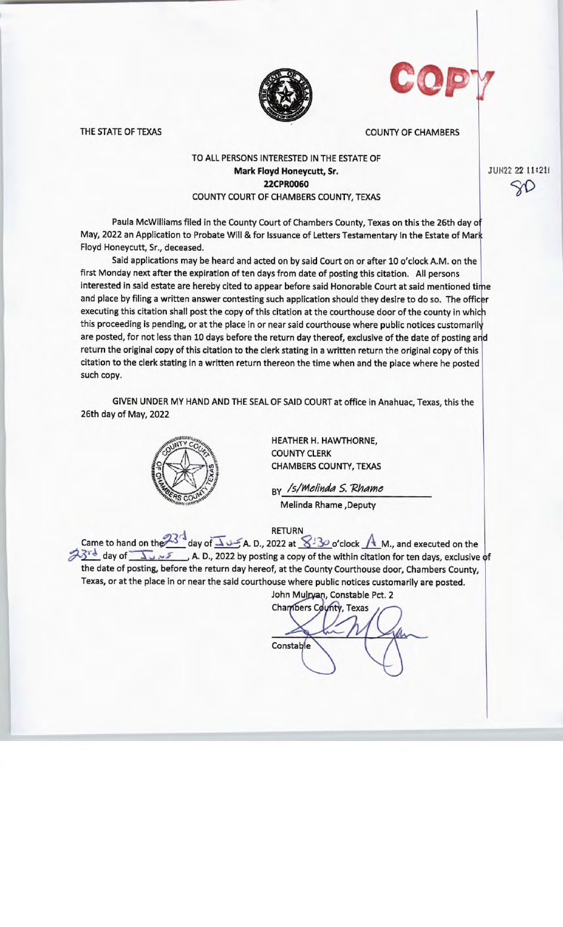



THE STATE OF TEXAS COUNTY OF CHAMBERS

## TO ALL PERSONS INTERESTED IN THE ESTATE OF Mark Floyd Honeycutt, Sr. 22CPR0060 COUNTY COURT OF CHAMBERS COUNTY, TEXAS

Paula McWilliams filed in the County Court of Chambers County, Texas on this the 26th day of May, 2022 an Application to Probate Will & for Issuance of Letters Testamentary In the Estate of Mark Floyd Honeycutt, Sr., deceased.

Said applications may be heard and acted on by said Court on or after 10 o'clock A.M. on the first Monday next after the expiration of ten days from date of posting this citation. All persons interested in said estate are hereby cited to appear before said Honorable Court at said mentioned time and place by filing a written answer contesting such application should they desire to do so. The officer executing this citation shall post the copy of this citation at the courthouse door of the county in which this proceeding is pending, or at the place in or near said courthouse where public notices customarily are posted, for not less than 10 days before the return day thereof, exclusive of the date of posting and return the original copy of this citation to the clerk stating in a written return the original copy of this citation to the clerk stating in a written return thereon the time when and the place where he posted such copy.

GIVEN UNDER MY HAND AND THE SEAL OF SAID COURT at office in Anahuac, Texas, this the 26th day of May, 2022



HEATHER H. HAWTHORNE, COUNTY CLERK CHAMBERS COUNTY, TEXAS

By /s/Melinda S. Rhame Melinda Rhame ,Deputy

RETURN

Came to hand on the  $\frac{23}{4}$  day of  $\overline{\Delta}$   $\cup$   $\leq$  A. D., 2022 at  $\overline{\sqrt{3}}$ - $\circ$ 'clock  $\overline{\sqrt{4}}$  M., and executed on the day of  $\sqrt{3}$ <sup>rd</sup> day of  $\sqrt{2}$   $\sqrt{5}$  A. D., 2022 by posting a copy of the within citation for ten days, exclusive of the date of posting, before the return day hereof, at the County Courthouse door, Chambers County, Texas, or at the place in or near the said courthouse where public notices customarily are posted.

John Mulryan, Constable Pct. 2 Chambers County, Texas **Constable** 

JUN22 22 11:21I 5(1)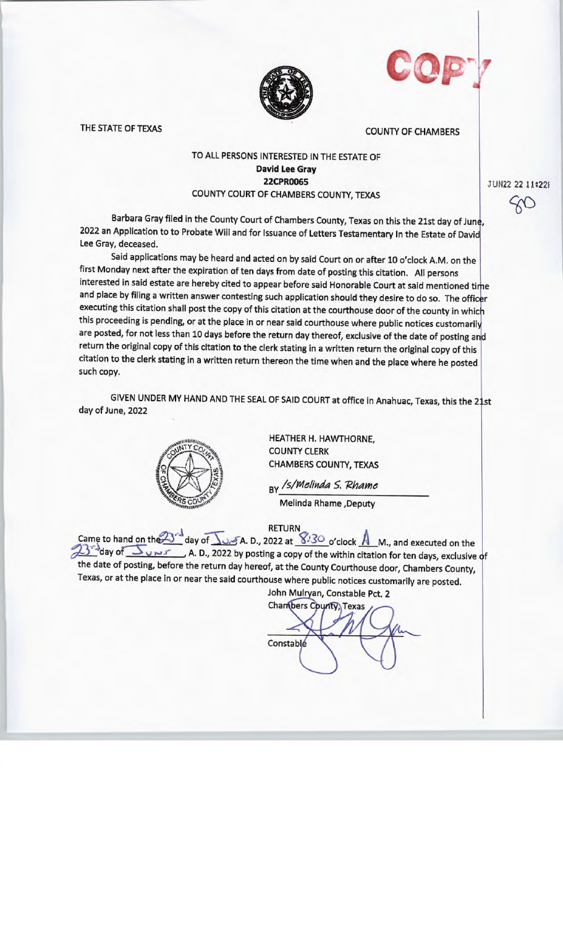|--|

A." .1 1

THE STATE OF TEXAS COUNTY OF CHAMBERS

## TO ALL PERSONS INTERESTED IN THE ESTATE OF David Lee Gray 22CPR0065 COUNTY COURT OF CHAMBERS COUNTY, TEXAS

JUN22 22 11:22f  $60$ 

Barbara Gray filed in the County Court of Chambers County, Texas on this the 21st day of June, <sup>2022</sup>an Application to to Probate Will and for Issuance of Letters Testamentary In the Estate of David Lee Gray, deceased.

Said applications may be heard and acted on by said Court on or after 10 o'clock A.M. on the first Monday next after the expiration of ten days from date of posting this citation. All persons interested in said estate are hereby cited to appear before said Honorable Court at said mentioned time and place by filing a written answer contesting such application should they desire to do so. The officer executing this citation shall post the copy of this citation at the courthouse door of the county in whic this proceeding is pending, or at the place in or near said courthouse where public notices customaril are posted, for not less than 10 days before the return day thereof, exclusive of the date of posting and return the original copy of this citation to the clerk stating in a written return the original copy of this citation to the clerk stating in a written return thereon the time when and the place where he posted such copy.

GIVEN UNDER MY HAND AND THE SEAL OF SAID COURT at office in Anahuac, Texas, this the 21st day of June, 2022



HEATHER H. HAWTHORNE, COUNTY CLERK CHAMBERS COUNTY, TEXAS

By / s/ Melinda S. Rhame Melinda Rhame ,Deputy

RETURN \_

Came to hand on the  $\Delta$ <sup>-</sup> day of  $\Delta$ .  $\Delta$ -5 A. D., 2022 at  $\Delta^{1/3O}$  o'clock  $\overline{A}$  M., and executed on the S day of Service of posting a copy of the within citation for ten days, exclusive of the date of posting, before the return day hereof, at the County Courthouse door, Chambers County, Texas, or at the place in or near the said courthouse where public notices customarily are posted.

John Mulryan, Constable Pct. 2 Chambers County, Texas **Constable**